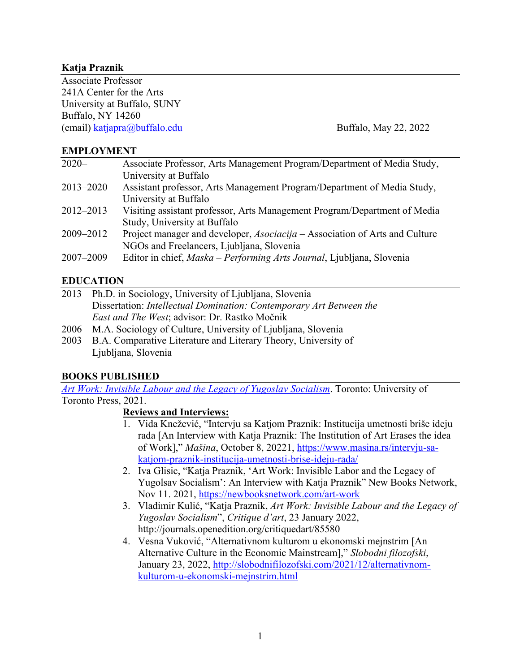### **Katja Praznik**

Associate Professor 241A Center for the Arts University at Buffalo, SUNY Buffalo, NY 14260 (email) katjapra@buffalo.edu Buffalo, May 22, 2022

#### **EMPLOYMENT**

| $2020 -$  | Associate Professor, Arts Management Program/Department of Media Study,     |
|-----------|-----------------------------------------------------------------------------|
|           | University at Buffalo                                                       |
| 2013-2020 | Assistant professor, Arts Management Program/Department of Media Study,     |
|           | University at Buffalo                                                       |
| 2012-2013 | Visiting assistant professor, Arts Management Program/Department of Media   |
|           | Study, University at Buffalo                                                |
| 2009-2012 | Project manager and developer, Asociacija - Association of Arts and Culture |
|           | NGOs and Freelancers, Ljubljana, Slovenia                                   |
| 2007-2009 | Editor in chief, Maska – Performing Arts Journal, Ljubljana, Slovenia       |
|           |                                                                             |

### **EDUCATION**

| 2013 Ph.D. in Sociology, University of Ljubljana, Slovenia                 |
|----------------------------------------------------------------------------|
| Dissertation: <i>Intellectual Domination: Contemporary Art Between the</i> |
| <i>East and The West</i> ; advisor: Dr. Rastko Močnik                      |

- 2006 M.A. Sociology of Culture, University of Ljubljana, Slovenia
- 2003 B.A. Comparative Literature and Literary Theory, University of Ljubljana, Slovenia

#### **BOOKS PUBLISHED**

*Art Work: Invisible Labour and the Legacy of Yugoslav Socialism*. Toronto: University of Toronto Press, 2021.

#### **Reviews and Interviews:**

- 1. Vida Knežević, "Intervju sa Katjom Praznik: Institucija umetnosti briše ideju rada [An Interview with Katja Praznik: The Institution of Art Erases the idea of Work]," *Mašina*, October 8, 20221, https://www.masina.rs/intervju-sakatjom-praznik-institucija-umetnosti-brise-ideju-rada/
- 2. Iva Glisic, "Katja Praznik, 'Art Work: Invisible Labor and the Legacy of Yugolsav Socialism': An Interview with Katja Praznik" New Books Network, Nov 11. 2021, https://newbooksnetwork.com/art-work
- 3. Vladimir Kulić, "Katja Praznik, *Art Work: Invisible Labour and the Legacy of Yugoslav Socialism*", *Critique d'art*, 23 January 2022, http://journals.openedition.org/critiquedart/85580
- 4. Vesna Vuković, "Alternativnom kulturom u ekonomski mejnstrim [An Alternative Culture in the Economic Mainstream]," *Slobodni filozofski*, January 23, 2022, http://slobodnifilozofski.com/2021/12/alternativnomkulturom-u-ekonomski-mejnstrim.html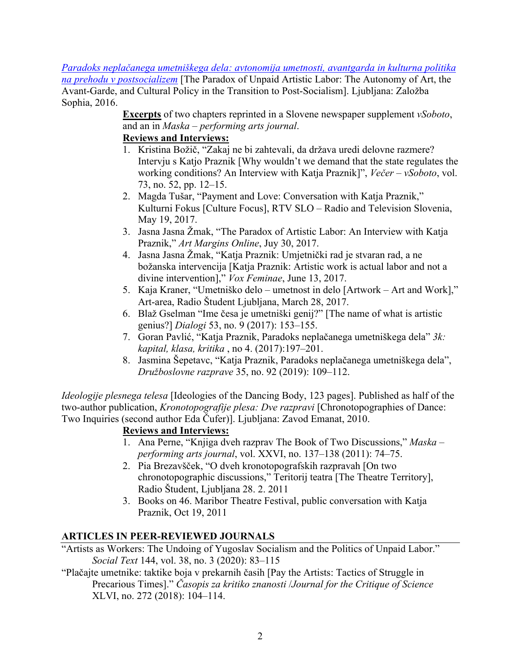*Paradoks neplačanega umetniškega dela: avtonomija umetnosti, avantgarda in kulturna politika na prehodu v postsocializem* [The Paradox of Unpaid Artistic Labor: The Autonomy of Art, the Avant-Garde, and Cultural Policy in the Transition to Post-Socialism]. Ljubljana: Založba Sophia, 2016.

> **Excerpts** of two chapters reprinted in a Slovene newspaper supplement *vSoboto*, and an in *Maska – performing arts journal*.

### **Reviews and Interviews:**

- 1. Kristina Božič, "Zakaj ne bi zahtevali, da država uredi delovne razmere? Intervju s Katjo Praznik [Why wouldn't we demand that the state regulates the working conditions? An Interview with Katja Praznik]", *Večer – vSoboto*, vol. 73, no. 52, pp. 12–15.
- 2. Magda Tušar, "Payment and Love: Conversation with Katja Praznik," Kulturni Fokus [Culture Focus], RTV SLO – Radio and Television Slovenia, May 19, 2017.
- 3. Jasna Jasna Žmak, "The Paradox of Artistic Labor: An Interview with Katja Praznik," *Art Margins Online*, Juy 30, 2017.
- 4. Jasna Jasna Žmak, "Katja Praznik: Umjetnički rad je stvaran rad, a ne božanska intervencija [Katja Praznik: Artistic work is actual labor and not a divine intervention]," *Vox Feminae*, June 13, 2017.
- 5. Kaja Kraner, "Umetniško delo umetnost in delo [Artwork Art and Work]," Art-area, Radio Študent Ljubljana, March 28, 2017.
- 6. Blaž Gselman "Ime česa je umetniški genij?" [The name of what is artistic genius?] *Dialogi* 53, no. 9 (2017): 153–155.
- 7. Goran Pavlić, "Katja Praznik, Paradoks neplačanega umetniškega dela" *3k: kapital, klasa, kritika* , no 4. (2017):197–201.
- 8. Jasmina Šepetavc, "Katja Praznik, Paradoks neplačanega umetniškega dela", *Družboslovne razprave* 35, no. 92 (2019): 109–112.

*Ideologije plesnega telesa* [Ideologies of the Dancing Body, 123 pages]. Published as half of the two-author publication, *Kronotopografije plesa: Dve razpravi* [Chronotopographies of Dance: Two Inquiries (second author Eda Čufer)]. Ljubljana: Zavod Emanat, 2010.

### **Reviews and Interviews:**

- 1. Ana Perne, "Knjiga dveh razprav The Book of Two Discussions," *Maska – performing arts journal*, vol. XXVI, no. 137–138 (2011): 74–75.
- 2. Pia Brezavšček, "O dveh kronotopografskih razpravah [On two chronotopographic discussions," Teritorij teatra [The Theatre Territory], Radio Študent, Ljubljana 28. 2. 2011
- 3. Books on 46. Maribor Theatre Festival, public conversation with Katja Praznik, Oct 19, 2011

# **ARTICLES IN PEER-REVIEWED JOURNALS**

- "Artists as Workers: The Undoing of Yugoslav Socialism and the Politics of Unpaid Labor." *Social Text* 144, vol. 38, no. 3 (2020): 83–115
- "Plačajte umetnike: taktike boja v prekarnih časih [Pay the Artists: Tactics of Struggle in Precarious Times]." *Časopis za kritiko znanosti* /*Journal for the Critique of Science* XLVI, no. 272 (2018): 104–114.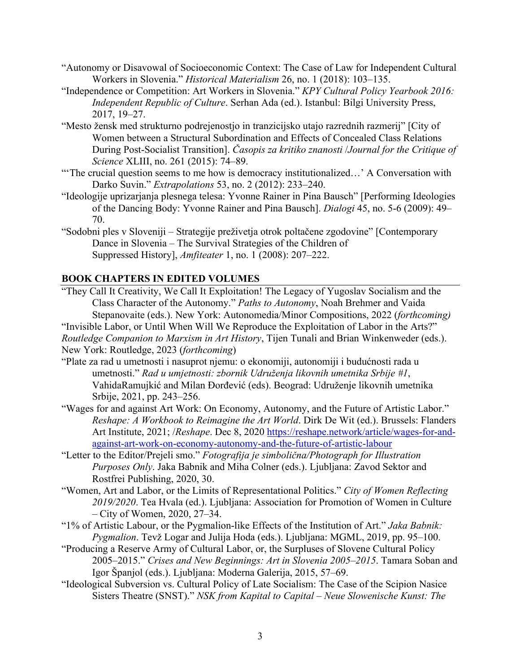- "Autonomy or Disavowal of Socioeconomic Context: The Case of Law for Independent Cultural Workers in Slovenia." *Historical Materialism* 26, no. 1 (2018): 103–135.
- "Independence or Competition: Art Workers in Slovenia." *KPY Cultural Policy Yearbook 2016: Independent Republic of Culture*. Serhan Ada (ed.). Istanbul: Bilgi University Press, 2017, 19–27.
- "Mesto žensk med strukturno podrejenostjo in tranzicijsko utajo razrednih razmerij" [City of Women between a Structural Subordination and Effects of Concealed Class Relations During Post-Socialist Transition]. *Časopis za kritiko znanosti* /*Journal for the Critique of Science* XLIII, no. 261 (2015): 74–89.
- "The crucial question seems to me how is democracy institutionalized...' A Conversation with Darko Suvin." *Extrapolations* 53, no. 2 (2012): 233–240.
- "Ideologije uprizarjanja plesnega telesa: Yvonne Rainer in Pina Bausch" [Performing Ideologies of the Dancing Body: Yvonne Rainer and Pina Bausch]. *Dialogi* 45, no. 5-6 (2009): 49– 70.
- "Sodobni ples v Sloveniji Strategije preživetja otrok poltačene zgodovine" [Contemporary Dance in Slovenia – The Survival Strategies of the Children of Suppressed History], *Amfiteater* 1, no. 1 (2008): 207–222.

# **BOOK CHAPTERS IN EDITED VOLUMES**

"They Call It Creativity, We Call It Exploitation! The Legacy of Yugoslav Socialism and the Class Character of the Autonomy." *Paths to Autonomy*, Noah Brehmer and Vaida Stepanovaite (eds.). New York: Autonomedia/Minor Compositions, 2022 (*forthcoming)* "Invisible Labor, or Until When Will We Reproduce the Exploitation of Labor in the Arts?"

*Routledge Companion to Marxism in Art History*, Tijen Tunali and Brian Winkenweder (eds.). New York: Routledge, 2023 (*forthcoming*)

- "Plate za rad u umetnosti i nasuprot njemu: o ekonomiji, autonomiji i budućnosti rada u umetnosti." *Rad u umjetnosti: zbornik Udruženja likovnih umetnika Srbije #1*, VahidaRamujkić and Milan Đorđević (eds). Beograd: Udruženje likovnih umetnika Srbije, 2021, pp. 243–256.
- "Wages for and against Art Work: On Economy, Autonomy, and the Future of Artistic Labor." *Reshape: A Workbook to Reimagine the Art World*. Dirk De Wit (ed.). Brussels: Flanders Art Institute, 2021; /*Reshape*. Dec 8, 2020 https://reshape.network/article/wages-for-andagainst-art-work-on-economy-autonomy-and-the-future-of-artistic-labour
- "Letter to the Editor/Prejeli smo." *Fotografija je simbolična/Photograph for Illustration Purposes Only*. Jaka Babnik and Miha Colner (eds.). Ljubljana: Zavod Sektor and Rostfrei Publishing, 2020, 30.
- "Women, Art and Labor, or the Limits of Representational Politics." *City of Women Reflecting 2019/2020*. Tea Hvala (ed.). Ljubljana: Association for Promotion of Women in Culture – City of Women, 2020, 27–34.
- "1% of Artistic Labour, or the Pygmalion-like Effects of the Institution of Art." *Jaka Babnik: Pygmalion*. Tevž Logar and Julija Hoda (eds.). Ljubljana: MGML, 2019, pp. 95–100.
- "Producing a Reserve Army of Cultural Labor, or, the Surpluses of Slovene Cultural Policy 2005–2015." *Crises and New Beginnings: Art in Slovenia 2005–2015*. Tamara Soban and Igor Španjol (eds.). Ljubljana: Moderna Galerija, 2015, 57–69.
- "Ideological Subversion vs. Cultural Policy of Late Socialism: The Case of the Scipion Nasice Sisters Theatre (SNST)." *NSK from Kapital to Capital – Neue Slowenische Kunst: The*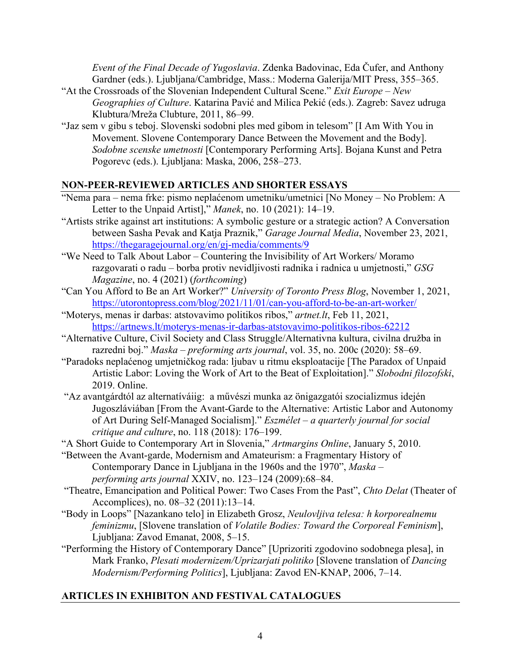*Event of the Final Decade of Yugoslavia*. Zdenka Badovinac, Eda Čufer, and Anthony Gardner (eds.). Ljubljana/Cambridge, Mass.: Moderna Galerija/MIT Press, 355–365.

- "At the Crossroads of the Slovenian Independent Cultural Scene." *Exit Europe – New Geographies of Culture*. Katarina Pavić and Milica Pekić (eds.). Zagreb: Savez udruga Klubtura/Mreža Clubture, 2011, 86–99.
- "Jaz sem v gibu s teboj. Slovenski sodobni ples med gibom in telesom" [I Am With You in Movement. Slovene Contemporary Dance Between the Movement and the Body]. *Sodobne scenske umetnosti* [Contemporary Performing Arts]. Bojana Kunst and Petra Pogorevc (eds.). Ljubljana: Maska, 2006, 258–273.

# **NON-PEER-REVIEWED ARTICLES AND SHORTER ESSAYS**

- "Nema para nema frke: pismo neplaćenom umetniku/umetnici [No Money No Problem: A Letter to the Unpaid Artist]," *Manek*, no. 10 (2021): 14–19.
- "Artists strike against art institutions: A symbolic gesture or a strategic action? A Conversation between Sasha Pevak and Katja Praznik," *Garage Journal Media*, November 23, 2021, https://thegaragejournal.org/en/gj-media/comments/9
- "We Need to Talk About Labor Countering the Invisibility of Art Workers/ Moramo razgovarati o radu – borba protiv nevidljivosti radnika i radnica u umjetnosti," *GSG Magazine*, no. 4 (2021) (*forthcoming*)
- "Can You Afford to Be an Art Worker?" *University of Toronto Press Blog*, November 1, 2021, https://utorontopress.com/blog/2021/11/01/can-you-afford-to-be-an-art-worker/
- "Moterys, menas ir darbas: atstovavimo politikos ribos," *artnet.lt*, Feb 11, 2021, https://artnews.lt/moterys-menas-ir-darbas-atstovavimo-politikos-ribos-62212
- "Alternative Culture, Civil Society and Class Struggle/Alternativna kultura, civilna družba in razredni boj." *Maska – preforming arts journal*, vol. 35, no. 200c (2020): 58–69.
- "Paradoks neplaćenog umjetničkog rada: ljubav u ritmu eksploatacije [The Paradox of Unpaid Artistic Labor: Loving the Work of Art to the Beat of Exploitation]." *Slobodni filozofski*, 2019. Online.
- "Az avantgárdtól az alternatíváiig: a művészi munka az önigazgatói szocializmus idején Jugoszláviában [From the Avant-Garde to the Alternative: Artistic Labor and Autonomy of Art During Self-Managed Socialism]." *Eszmélet* – *a quarterly journal for social critique and culture*, no. 118 (2018): 176–199.
- "A Short Guide to Contemporary Art in Slovenia," *Artmargins Online*, January 5, 2010.
- "Between the Avant-garde, Modernism and Amateurism: a Fragmentary History of Contemporary Dance in Ljubljana in the 1960s and the 1970", *Maska – performing arts journal* XXIV, no. 123–124 (2009):68–84.
- "Theatre, Emancipation and Political Power: Two Cases From the Past", *Chto Delat* (Theater of Accomplices), no. 08–32 (2011):13–14.
- "Body in Loops" [Nazankano telo] in Elizabeth Grosz, *Neulovljiva telesa: h korporealnemu feminizmu*, [Slovene translation of *Volatile Bodies: Toward the Corporeal Feminism*], Ljubljana: Zavod Emanat, 2008, 5–15.
- "Performing the History of Contemporary Dance" [Uprizoriti zgodovino sodobnega plesa], in Mark Franko, *Plesati modernizem/Uprizarjati politiko* [Slovene translation of *Dancing Modernism/Performing Politics*], Ljubljana: Zavod EN-KNAP, 2006, 7–14.

# **ARTICLES IN EXHIBITON AND FESTIVAL CATALOGUES**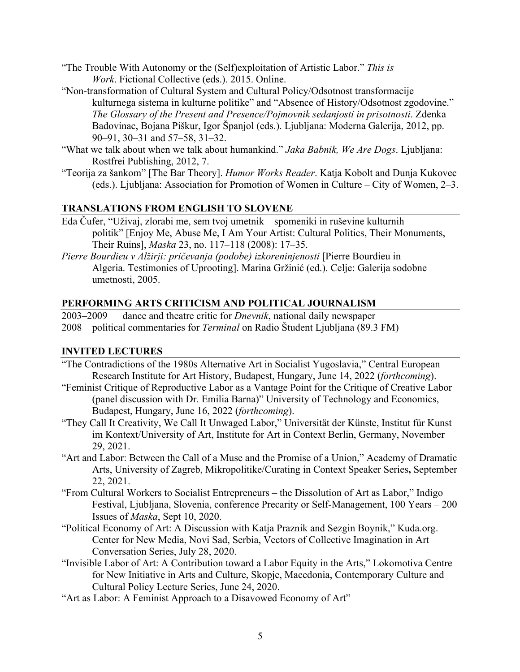- "The Trouble With Autonomy or the (Self)exploitation of Artistic Labor." *This is Work*. Fictional Collective (eds.). 2015. Online.
- "Non-transformation of Cultural System and Cultural Policy/Odsotnost transformacije kulturnega sistema in kulturne politike" and "Absence of History/Odsotnost zgodovine." *The Glossary of the Present and Presence/Pojmovnik sedanjosti in prisotnosti*. Zdenka Badovinac, Bojana Piškur, Igor Španjol (eds.). Ljubljana: Moderna Galerija, 2012, pp. 90–91, 30–31 and 57–58, 31–32.
- "What we talk about when we talk about humankind." *Jaka Babnik, We Are Dogs*. Ljubljana: Rostfrei Publishing, 2012, 7.
- "Teorija za šankom" [The Bar Theory]. *Humor Works Reader*. Katja Kobolt and Dunja Kukovec (eds.). Ljubljana: Association for Promotion of Women in Culture – City of Women, 2–3.

### **TRANSLATIONS FROM ENGLISH TO SLOVENE**

- Eda Čufer, "Uživaj, zlorabi me, sem tvoj umetnik spomeniki in ruševine kulturnih politik" [Enjoy Me, Abuse Me, I Am Your Artist: Cultural Politics, Their Monuments, Their Ruins], *Maska* 23, no. 117–118 (2008): 17–35.
- *Pierre Bourdieu v Alžirji: pričevanja (podobe) izkoreninjenosti* [Pierre Bourdieu in Algeria. Testimonies of Uprooting]. Marina Gržinić (ed.). Celje: Galerija sodobne umetnosti, 2005.

### **PERFORMING ARTS CRITICISM AND POLITICAL JOURNALISM**

2003–2009 dance and theatre critic for *Dnevnik*, national daily newspaper

2008 political commentaries for *Terminal* on Radio Študent Ljubljana (89.3 FM)

### **INVITED LECTURES**

- "The Contradictions of the 1980s Alternative Art in Socialist Yugoslavia," Central European Research Institute for Art History, Budapest, Hungary, June 14, 2022 (*forthcoming*).
- "Feminist Critique of Reproductive Labor as a Vantage Point for the Critique of Creative Labor (panel discussion with Dr. Emilia Barna)" University of Technology and Economics, Budapest, Hungary, June 16, 2022 (*forthcoming*).
- "They Call It Creativity, We Call It Unwaged Labor," Universität der Künste, Institut für Kunst im Kontext/University of Art, Institute for Art in Context Berlin, Germany, November 29, 2021.
- "Art and Labor: Between the Call of a Muse and the Promise of a Union," Academy of Dramatic Arts, University of Zagreb, Mikropolitike/Curating in Context Speaker Series**,** September 22, 2021.
- "From Cultural Workers to Socialist Entrepreneurs the Dissolution of Art as Labor," Indigo Festival, Ljubljana, Slovenia, conference Precarity or Self-Management, 100 Years – 200 Issues of *Maska*, Sept 10, 2020.
- "Political Economy of Art: A Discussion with Katja Praznik and Sezgin Boynik," Kuda.org. Center for New Media, Novi Sad, Serbia, Vectors of Collective Imagination in Art Conversation Series, July 28, 2020.
- "Invisible Labor of Art: A Contribution toward a Labor Equity in the Arts," Lokomotiva Centre for New Initiative in Arts and Culture, Skopje, Macedonia, Contemporary Culture and Cultural Policy Lecture Series, June 24, 2020.
- "Art as Labor: A Feminist Approach to a Disavowed Economy of Art"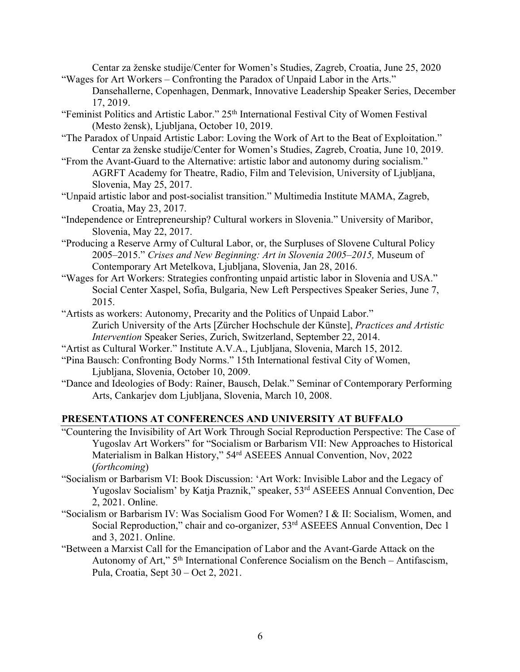Centar za ženske studije/Center for Women's Studies, Zagreb, Croatia, June 25, 2020 "Wages for Art Workers – Confronting the Paradox of Unpaid Labor in the Arts."

Dansehallerne, Copenhagen, Denmark, Innovative Leadership Speaker Series, December 17, 2019.

- "Feminist Politics and Artistic Labor." 25<sup>th</sup> International Festival City of Women Festival (Mesto žensk), Ljubljana, October 10, 2019.
- "The Paradox of Unpaid Artistic Labor: Loving the Work of Art to the Beat of Exploitation." Centar za ženske studije/Center for Women's Studies, Zagreb, Croatia, June 10, 2019.
- "From the Avant-Guard to the Alternative: artistic labor and autonomy during socialism." AGRFT Academy for Theatre, Radio, Film and Television, University of Ljubljana, Slovenia, May 25, 2017.
- "Unpaid artistic labor and post-socialist transition." Multimedia Institute MAMA, Zagreb, Croatia, May 23, 2017.
- "Independence or Entrepreneurship? Cultural workers in Slovenia." University of Maribor, Slovenia, May 22, 2017.
- "Producing a Reserve Army of Cultural Labor, or, the Surpluses of Slovene Cultural Policy 2005–2015." *Crises and New Beginning: Art in Slovenia 2005–2015,* Museum of Contemporary Art Metelkova, Ljubljana, Slovenia, Jan 28, 2016.
- "Wages for Art Workers: Strategies confronting unpaid artistic labor in Slovenia and USA." Social Center Xaspel, Sofia, Bulgaria, New Left Perspectives Speaker Series, June 7, 2015.
- "Artists as workers: Autonomy, Precarity and the Politics of Unpaid Labor." Zurich University of the Arts [Zürcher Hochschule der Künste], *Practices and Artistic Intervention* Speaker Series, Zurich, Switzerland, September 22, 2014.
- "Artist as Cultural Worker." Institute A.V.A., Ljubljana, Slovenia, March 15, 2012.
- "Pina Bausch: Confronting Body Norms." 15th International festival City of Women, Ljubljana, Slovenia, October 10, 2009.
- "Dance and Ideologies of Body: Rainer, Bausch, Delak." Seminar of Contemporary Performing Arts, Cankarjev dom Ljubljana, Slovenia, March 10, 2008.

#### **PRESENTATIONS AT CONFERENCES AND UNIVERSITY AT BUFFALO**

- "Countering the Invisibility of Art Work Through Social Reproduction Perspective: The Case of Yugoslav Art Workers" for "Socialism or Barbarism VII: New Approaches to Historical Materialism in Balkan History," 54rd ASEEES Annual Convention, Nov, 2022 (*forthcoming*)
- "Socialism or Barbarism VI: Book Discussion: 'Art Work: Invisible Labor and the Legacy of Yugoslav Socialism' by Katja Praznik," speaker, 53rd ASEEES Annual Convention, Dec 2, 2021. Online.
- "Socialism or Barbarism IV: Was Socialism Good For Women? I & II: Socialism, Women, and Social Reproduction," chair and co-organizer, 53<sup>rd</sup> ASEEES Annual Convention, Dec 1 and 3, 2021. Online.
- "Between a Marxist Call for the Emancipation of Labor and the Avant-Garde Attack on the Autonomy of Art," 5th International Conference Socialism on the Bench – Antifascism, Pula, Croatia, Sept 30 – Oct 2, 2021.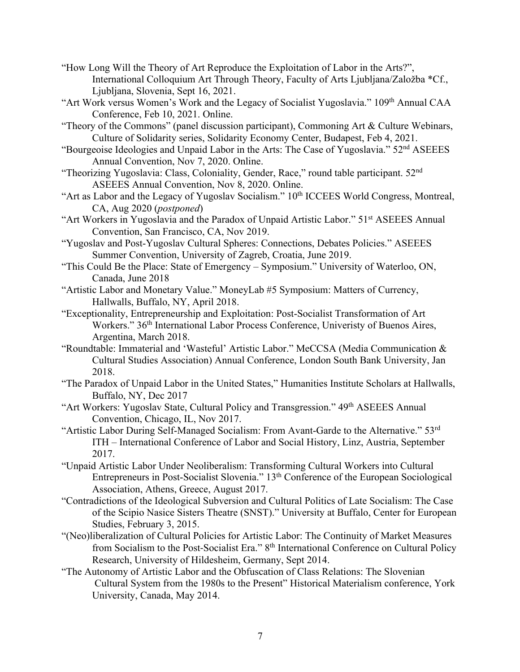- "How Long Will the Theory of Art Reproduce the Exploitation of Labor in the Arts?", International Colloquium Art Through Theory, Faculty of Arts Ljubljana/Založba \*Cf., Ljubljana, Slovenia, Sept 16, 2021.
- "Art Work versus Women's Work and the Legacy of Socialist Yugoslavia." 109<sup>th</sup> Annual CAA Conference, Feb 10, 2021. Online.
- "Theory of the Commons" (panel discussion participant), Commoning Art & Culture Webinars, Culture of Solidarity series, Solidarity Economy Center, Budapest, Feb 4, 2021.
- "Bourgeoise Ideologies and Unpaid Labor in the Arts: The Case of Yugoslavia." 52nd ASEEES Annual Convention, Nov 7, 2020. Online.
- "Theorizing Yugoslavia: Class, Coloniality, Gender, Race," round table participant. 52<sup>nd</sup> ASEEES Annual Convention, Nov 8, 2020. Online.
- "Art as Labor and the Legacy of Yugoslav Socialism." 10<sup>th</sup> ICCEES World Congress, Montreal, CA, Aug 2020 (*postponed*)
- "Art Workers in Yugoslavia and the Paradox of Unpaid Artistic Labor." 51st ASEEES Annual Convention, San Francisco, CA, Nov 2019.
- "Yugoslav and Post-Yugoslav Cultural Spheres: Connections, Debates Policies." ASEEES Summer Convention, University of Zagreb, Croatia, June 2019.
- "This Could Be the Place: State of Emergency Symposium." University of Waterloo, ON, Canada, June 2018
- "Artistic Labor and Monetary Value." MoneyLab #5 Symposium: Matters of Currency, Hallwalls, Buffalo, NY, April 2018.
- "Exceptionality, Entrepreneurship and Exploitation: Post-Socialist Transformation of Art Workers." 36<sup>th</sup> International Labor Process Conference, Univeristy of Buenos Aires, Argentina, March 2018.
- "Roundtable: Immaterial and 'Wasteful' Artistic Labor." MeCCSA (Media Communication & Cultural Studies Association) Annual Conference, London South Bank University, Jan 2018.
- "The Paradox of Unpaid Labor in the United States," Humanities Institute Scholars at Hallwalls, Buffalo, NY, Dec 2017
- "Art Workers: Yugoslav State, Cultural Policy and Transgression." 49th ASEEES Annual Convention, Chicago, IL, Nov 2017.
- "Artistic Labor During Self-Managed Socialism: From Avant-Garde to the Alternative." 53rd ITH – International Conference of Labor and Social History, Linz, Austria, September 2017.
- "Unpaid Artistic Labor Under Neoliberalism: Transforming Cultural Workers into Cultural Entrepreneurs in Post-Socialist Slovenia." 13th Conference of the European Sociological Association, Athens, Greece, August 2017.
- "Contradictions of the Ideological Subversion and Cultural Politics of Late Socialism: The Case of the Scipio Nasice Sisters Theatre (SNST)." University at Buffalo, Center for European Studies, February 3, 2015.
- "(Neo)liberalization of Cultural Policies for Artistic Labor: The Continuity of Market Measures from Socialism to the Post-Socialist Era." 8th International Conference on Cultural Policy Research, University of Hildesheim, Germany, Sept 2014.
- "The Autonomy of Artistic Labor and the Obfuscation of Class Relations: The Slovenian Cultural System from the 1980s to the Present" Historical Materialism conference, York University, Canada, May 2014.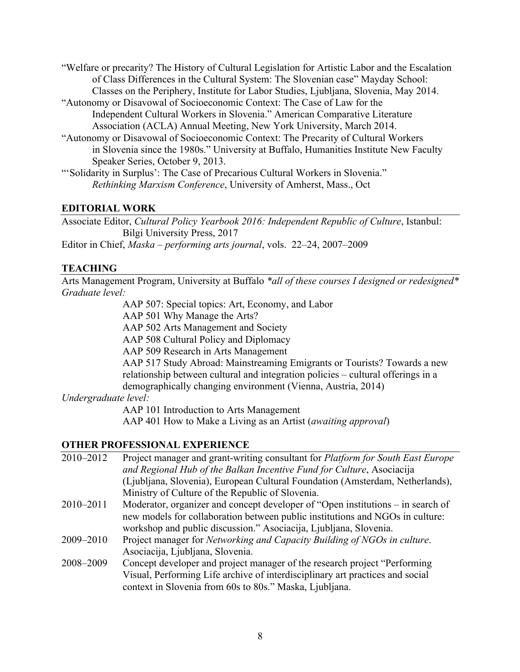- "Welfare or precarity? The History of Cultural Legislation for Artistic Labor and the Escalation of Class Differences in the Cultural System: The Slovenian case" Mayday School: Classes on the Periphery, Institute for Labor Studies, Ljubljana, Slovenia, May 2014.
- "Autonomy or Disavowal of Socioeconomic Context: The Case of Law for the Independent Cultural Workers in Slovenia." American Comparative Literature Association (ACLA) Annual Meeting, New York University, March 2014.
- "Autonomy or Disavowal of Socioeconomic Context: The Precarity of Cultural Workers in Slovenia since the 1980s." University at Buffalo, Humanities Institute New Faculty Speaker Series, October 9, 2013.

"'Solidarity in Surplus': The Case of Precarious Cultural Workers in Slovenia." *Rethinking Marxism Conference*, University of Amherst, Mass., Oct

### **EDITORIAL WORK**

Associate Editor, *Cultural Policy Yearbook 2016: Independent Republic of Culture*, Istanbul: Bilgi University Press, 2017

Editor in Chief, *Maska – performing arts journal*, vols. 22–24, 2007–2009

# **TEACHING**

Arts Management Program, University at Buffalo *\*all of these courses I designed or redesigned\* Graduate level:*

AAP 507: Special topics: Art, Economy, and Labor

AAP 501 Why Manage the Arts?

AAP 502 Arts Management and Society

AAP 508 Cultural Policy and Diplomacy

AAP 509 Research in Arts Management

AAP 517 Study Abroad: Mainstreaming Emigrants or Tourists? Towards a new relationship between cultural and integration policies – cultural offerings in a demographically changing environment (Vienna, Austria, 2014)

### *Undergraduate level:*

AAP 101 Introduction to Arts Management

AAP 401 How to Make a Living as an Artist (*awaiting approval*)

# **OTHER PROFESSIONAL EXPERIENCE**

| 2010-2012 | Project manager and grant-writing consultant for <i>Platform for South East Europe</i> |
|-----------|----------------------------------------------------------------------------------------|
|           | and Regional Hub of the Balkan Incentive Fund for Culture, Asociacija                  |
|           | (Ljubljana, Slovenia), European Cultural Foundation (Amsterdam, Netherlands),          |
|           | Ministry of Culture of the Republic of Slovenia.                                       |
| 2010-2011 | Moderator, organizer and concept developer of "Open institutions – in search of        |
|           | new models for collaboration between public institutions and NGOs in culture:          |
|           | workshop and public discussion." Asociacija, Ljubljana, Slovenia.                      |
| 2009-2010 | Project manager for <i>Networking and Capacity Building of NGOs in culture</i> .       |
|           | Asociacija, Ljubljana, Slovenia.                                                       |
| 2008-2009 | Concept developer and project manager of the research project "Performing              |
|           | Visual, Performing Life archive of interdisciplinary art practices and social          |
|           | context in Slovenia from 60s to 80s." Maska, Ljubljana.                                |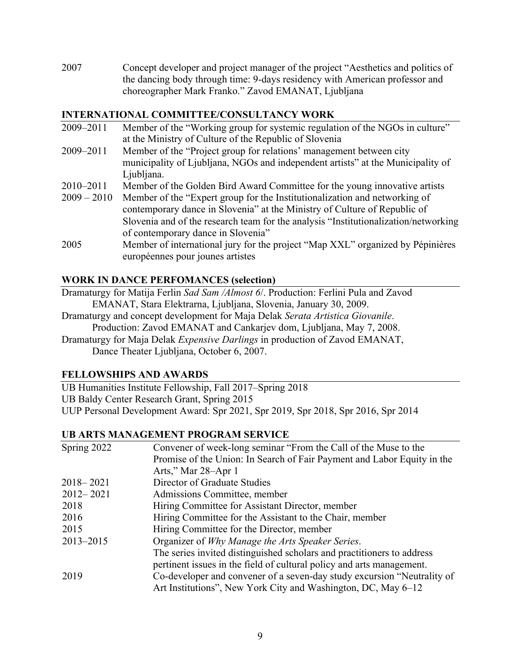2007 Concept developer and project manager of the project "Aesthetics and politics of the dancing body through time: 9-days residency with American professor and choreographer Mark Franko." Zavod EMANAT, Ljubljana

### **INTERNATIONAL COMMITTEE/CONSULTANCY WORK**

2009–2011 Member of the "Working group for systemic regulation of the NGOs in culture" at the Ministry of Culture of the Republic of Slovenia 2009–2011 Member of the "Project group for relations' management between city municipality of Ljubljana, NGOs and independent artists" at the Municipality of Liubliana. 2010–2011 Member of the Golden Bird Award Committee for the young innovative artists 2009 – 2010 Member of the "Expert group for the Institutionalization and networking of contemporary dance in Slovenia" at the Ministry of Culture of Republic of Slovenia and of the research team for the analysis "Institutionalization/networking of contemporary dance in Slovenia" 2005 Member of international jury for the project "Map XXL" organized by Pépinières européennes pour jounes artistes

# **WORK IN DANCE PERFOMANCES (selection)**

- Dramaturgy for Matija Ferlin *Sad Sam /Almost 6*/. Production: Ferlini Pula and Zavod EMANAT, Stara Elektrarna, Ljubljana, Slovenia, January 30, 2009.
- Dramaturgy and concept development for Maja Delak *Serata Artistica Giovanile*. Production: Zavod EMANAT and Cankarjev dom, Ljubljana, May 7, 2008.
- Dramaturgy for Maja Delak *Expensive Darlings* in production of Zavod EMANAT, Dance Theater Ljubljana, October 6, 2007.

# **FELLOWSHIPS AND AWARDS**

UB Humanities Institute Fellowship, Fall 2017–Spring 2018 UB Baldy Center Research Grant, Spring 2015 UUP Personal Development Award: Spr 2021, Spr 2019, Spr 2018, Spr 2016, Spr 2014

# **UB ARTS MANAGEMENT PROGRAM SERVICE**

| Spring 2022   | Convener of week-long seminar "From the Call of the Muse to the         |
|---------------|-------------------------------------------------------------------------|
|               | Promise of the Union: In Search of Fair Payment and Labor Equity in the |
|               | Arts," Mar 28–Apr 1                                                     |
| $2018 - 2021$ | Director of Graduate Studies                                            |
| $2012 - 2021$ | Admissions Committee, member                                            |
| 2018          | Hiring Committee for Assistant Director, member                         |
| 2016          | Hiring Committee for the Assistant to the Chair, member                 |
| 2015          | Hiring Committee for the Director, member                               |
| 2013-2015     | Organizer of Why Manage the Arts Speaker Series.                        |
|               | The series invited distinguished scholars and practitioners to address  |
|               | pertinent issues in the field of cultural policy and arts management.   |
| 2019          | Co-developer and convener of a seven-day study excursion "Neutrality of |
|               | Art Institutions", New York City and Washington, DC, May 6–12           |